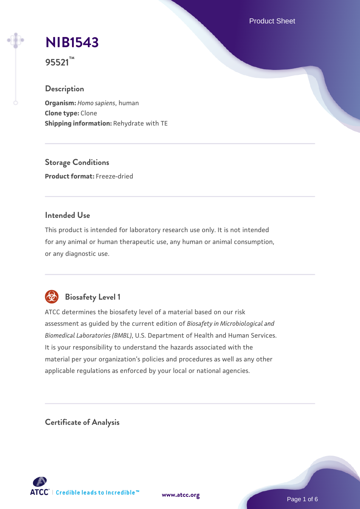Product Sheet

# **[NIB1543](https://www.atcc.org/products/95521)**

**95521™**

## **Description**

**Organism:** *Homo sapiens*, human **Clone type:** Clone **Shipping information:** Rehydrate with TE

**Storage Conditions Product format:** Freeze-dried

#### **Intended Use**

This product is intended for laboratory research use only. It is not intended for any animal or human therapeutic use, any human or animal consumption, or any diagnostic use.



## **Biosafety Level 1**

ATCC determines the biosafety level of a material based on our risk assessment as guided by the current edition of *Biosafety in Microbiological and Biomedical Laboratories (BMBL)*, U.S. Department of Health and Human Services. It is your responsibility to understand the hazards associated with the material per your organization's policies and procedures as well as any other applicable regulations as enforced by your local or national agencies.

**Certificate of Analysis**

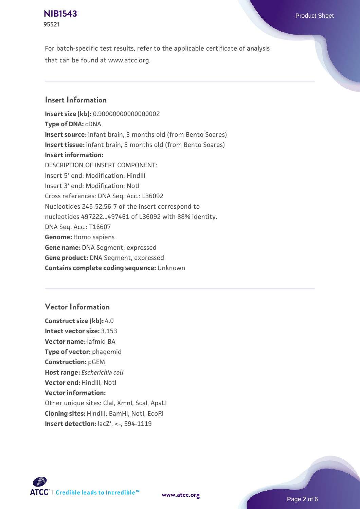#### **[NIB1543](https://www.atcc.org/products/95521)** Product Sheet **95521**

For batch-specific test results, refer to the applicable certificate of analysis that can be found at www.atcc.org.

### **Insert Information**

**Insert size (kb):** 0.90000000000000002 **Type of DNA:** cDNA **Insert source:** infant brain, 3 months old (from Bento Soares) **Insert tissue:** infant brain, 3 months old (from Bento Soares) **Insert information:** DESCRIPTION OF INSERT COMPONENT: Insert 5' end: Modification: HindIII Insert 3' end: Modification: NotI Cross references: DNA Seq. Acc.: L36092 Nucleotides 245-52,56-7 of the insert correspond to nucleotides 497222...497461 of L36092 with 88% identity. DNA Seq. Acc.: T16607 **Genome:** Homo sapiens **Gene name:** DNA Segment, expressed **Gene product:** DNA Segment, expressed **Contains complete coding sequence:** Unknown

## **Vector Information**

**Construct size (kb):** 4.0 **Intact vector size:** 3.153 **Vector name:** lafmid BA **Type of vector:** phagemid **Construction:** pGEM **Host range:** *Escherichia coli* **Vector end:** HindIII; NotI **Vector information:** Other unique sites: ClaI, XmnI, ScaI, ApaLI **Cloning sites:** HindIII; BamHI; NotI; EcoRI **Insert detection:** lacZ', <-, 594-1119

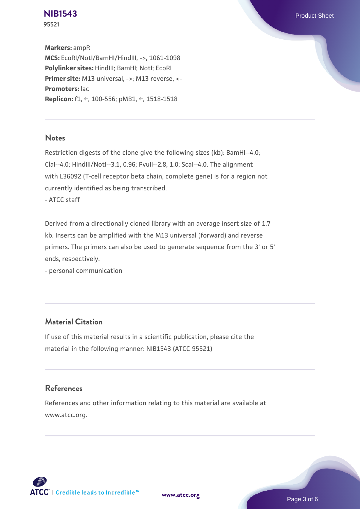**[NIB1543](https://www.atcc.org/products/95521)** Product Sheet **95521**

**Markers:** ampR **MCS:** EcoRI/NotI/BamHI/HindIII, ->, 1061-1098 **Polylinker sites:** HindIII; BamHI; NotI; EcoRI **Primer site:** M13 universal, ->; M13 reverse, <- **Promoters:** lac **Replicon:** f1, ←, 100-556; pMB1, ←, 1518-1518

#### **Notes**

Restriction digests of the clone give the following sizes (kb): BamHI--4.0; ClaI--4.0; HindIII/NotI--3.1, 0.96; PvuII--2.8, 1.0; ScaI--4.0. The alignment with L36092 (T-cell receptor beta chain, complete gene) is for a region not currently identified as being transcribed.

- ATCC staff

Derived from a directionally cloned library with an average insert size of 1.7 kb. Inserts can be amplified with the M13 universal (forward) and reverse primers. The primers can also be used to generate sequence from the 3' or 5' ends, respectively.

- personal communication

## **Material Citation**

If use of this material results in a scientific publication, please cite the material in the following manner: NIB1543 (ATCC 95521)

#### **References**

References and other information relating to this material are available at www.atcc.org.





Page 3 of 6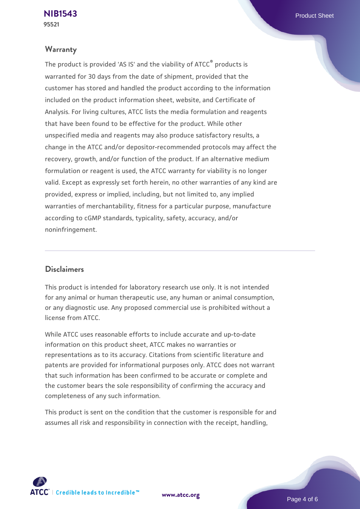#### **Warranty**

The product is provided 'AS IS' and the viability of ATCC® products is warranted for 30 days from the date of shipment, provided that the customer has stored and handled the product according to the information included on the product information sheet, website, and Certificate of Analysis. For living cultures, ATCC lists the media formulation and reagents that have been found to be effective for the product. While other unspecified media and reagents may also produce satisfactory results, a change in the ATCC and/or depositor-recommended protocols may affect the recovery, growth, and/or function of the product. If an alternative medium formulation or reagent is used, the ATCC warranty for viability is no longer valid. Except as expressly set forth herein, no other warranties of any kind are provided, express or implied, including, but not limited to, any implied warranties of merchantability, fitness for a particular purpose, manufacture according to cGMP standards, typicality, safety, accuracy, and/or noninfringement.

#### **Disclaimers**

This product is intended for laboratory research use only. It is not intended for any animal or human therapeutic use, any human or animal consumption, or any diagnostic use. Any proposed commercial use is prohibited without a license from ATCC.

While ATCC uses reasonable efforts to include accurate and up-to-date information on this product sheet, ATCC makes no warranties or representations as to its accuracy. Citations from scientific literature and patents are provided for informational purposes only. ATCC does not warrant that such information has been confirmed to be accurate or complete and the customer bears the sole responsibility of confirming the accuracy and completeness of any such information.

This product is sent on the condition that the customer is responsible for and assumes all risk and responsibility in connection with the receipt, handling,



**[www.atcc.org](http://www.atcc.org)**

Page 4 of 6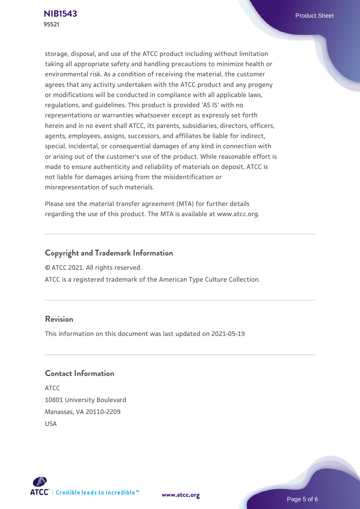storage, disposal, and use of the ATCC product including without limitation taking all appropriate safety and handling precautions to minimize health or environmental risk. As a condition of receiving the material, the customer agrees that any activity undertaken with the ATCC product and any progeny or modifications will be conducted in compliance with all applicable laws, regulations, and guidelines. This product is provided 'AS IS' with no representations or warranties whatsoever except as expressly set forth herein and in no event shall ATCC, its parents, subsidiaries, directors, officers, agents, employees, assigns, successors, and affiliates be liable for indirect, special, incidental, or consequential damages of any kind in connection with or arising out of the customer's use of the product. While reasonable effort is made to ensure authenticity and reliability of materials on deposit, ATCC is not liable for damages arising from the misidentification or misrepresentation of such materials.

Please see the material transfer agreement (MTA) for further details regarding the use of this product. The MTA is available at www.atcc.org.

### **Copyright and Trademark Information**

© ATCC 2021. All rights reserved.

ATCC is a registered trademark of the American Type Culture Collection.

#### **Revision**

This information on this document was last updated on 2021-05-19

### **Contact Information**

ATCC 10801 University Boulevard Manassas, VA 20110-2209 USA